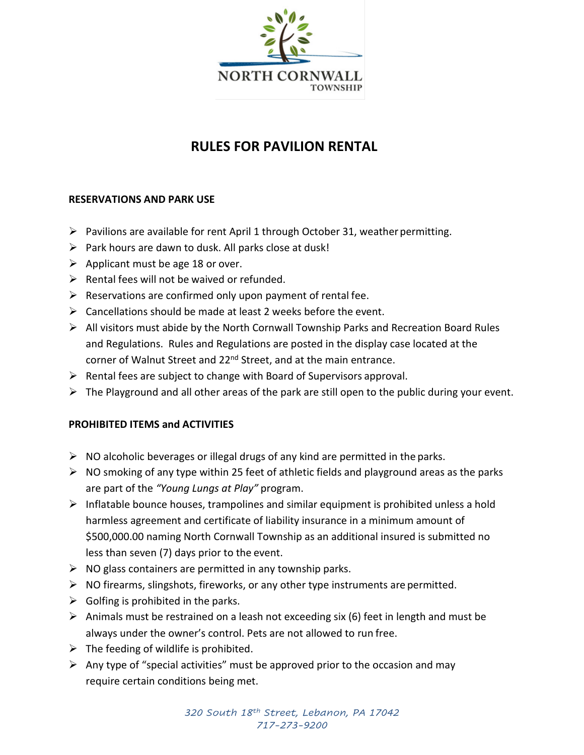

# **RULES FOR PAVILION RENTAL**

# **RESERVATIONS AND PARK USE**

- $\triangleright$  Pavilions are available for rent April 1 through October 31, weather permitting.
- $\triangleright$  Park hours are dawn to dusk. All parks close at dusk!
- $\triangleright$  Applicant must be age 18 or over.
- $\triangleright$  Rental fees will not be waived or refunded.
- $\triangleright$  Reservations are confirmed only upon payment of rental fee.
- $\triangleright$  Cancellations should be made at least 2 weeks before the event.
- $\triangleright$  All visitors must abide by the North Cornwall Township Parks and Recreation Board Rules and Regulations. Rules and Regulations are posted in the display case located at the corner of Walnut Street and 22<sup>nd</sup> Street, and at the main entrance.
- $\triangleright$  Rental fees are subject to change with Board of Supervisors approval.
- $\triangleright$  The Playground and all other areas of the park are still open to the public during your event.

## **PROHIBITED ITEMS and ACTIVITIES**

- $\triangleright$  NO alcoholic beverages or illegal drugs of any kind are permitted in the parks.
- $\triangleright$  NO smoking of any type within 25 feet of athletic fields and playground areas as the parks are part of the *"Young Lungs at Play"* program.
- $\triangleright$  Inflatable bounce houses, trampolines and similar equipment is prohibited unless a hold harmless agreement and certificate of liability insurance in a minimum amount of \$500,000.00 naming North Cornwall Township as an additional insured is submitted no less than seven (7) days prior to the event.
- $\triangleright$  NO glass containers are permitted in any township parks.
- $\triangleright$  NO firearms, slingshots, fireworks, or any other type instruments are permitted.
- $\triangleright$  Golfing is prohibited in the parks.
- $\triangleright$  Animals must be restrained on a leash not exceeding six (6) feet in length and must be always under the owner's control. Pets are not allowed to run free.
- $\triangleright$  The feeding of wildlife is prohibited.
- $\triangleright$  Any type of "special activities" must be approved prior to the occasion and may require certain conditions being met.